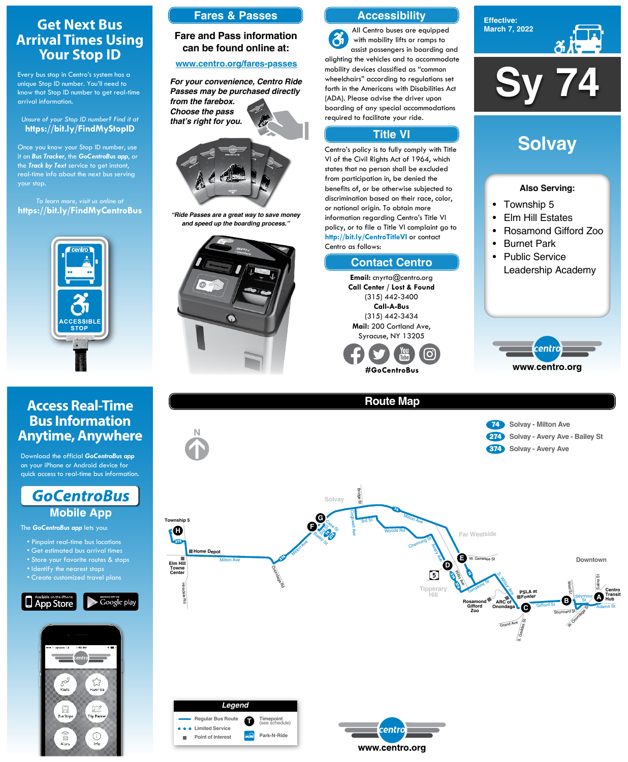**Sy 74**





### **Also Serving:**

- Township 5
- Elm Hill Estates
- Rosamond Gifford Zoo
- Burnet Park
- Public Service Leadership Academy



# **Solvay**



Hinsdale Rd









**Elm Hill Towne Center**

## **Get Next Bus Arrival Times Using Your Stop ID**

Every bus stop in Centro's system has a unique Stop ID number. You'll need to know that Stop ID number to get real-time arrival information.

#### *Unsure of your Stop ID number? Find it at* **https://bit.ly/FindMyStopID**

Once you know your Stop ID number, use it on *Bus Tracker*, the *GoCentroBus app*, or the *Track by Text* service to get instant, real-time info about the next bus serving your stop.

*To learn more, visit us online at* **https://bit.ly/FindMyCentroBus**



## **Access Real-Time Bus Information Anytime, Anywhere**

Download the official *GoCentroBus app* on your iPhone or Android device for quick access to real-time bus information.



The *GoCentroBus app* lets you:

- Pinpoint real-time bus locations
- Get estimated bus arrival times
- Store your favorite routes & stops

- Identify the nearest stops
- Create customized travel plans





## **Accessibility**

## **Contact Centro**

## **Title VI**

All Centro buses are equipped  $\mathbf{a}$ with mobility lifts or ramps to assist passengers in boarding and alighting the vehicles and to accommodate mobility devices classified as "common wheelchairs" according to regulations set forth in the Americans with Disabilities Act (ADA). Please advise the driver upon boarding of any special accommodations required to facilitate your ride.

Centro's policy is to fully comply with Title VI of the Civil Rights Act of 1964, which states that no person shall be excluded from participation in, be denied the benefits of, or be otherwise subjected to discrimination based on their race, color, or national origin. To obtain more information regarding Centro's Title VI policy, or to file a Title VI complaint go to **http://bit.ly/CentroTitleVI** or contact Centro as follows:

> **Email:** cnyrta@centro.org **Call Center / Lost & Found** (315) 442-3400 **Call-A-Bus** (315) 442-3434 **Mail:** 200 Cortland Ave, Syracuse, NY 13205



## **Fares & Passes**

## **Fare and Pass information can be found online at:**

### **www.centro.org/fares-passes**



*"Ride Passes are a great way to save money and speed up the boarding process."*



*For your convenience, Centro Ride Passes may be purchased directly from the farebox. Choose the pass that's right for you.*